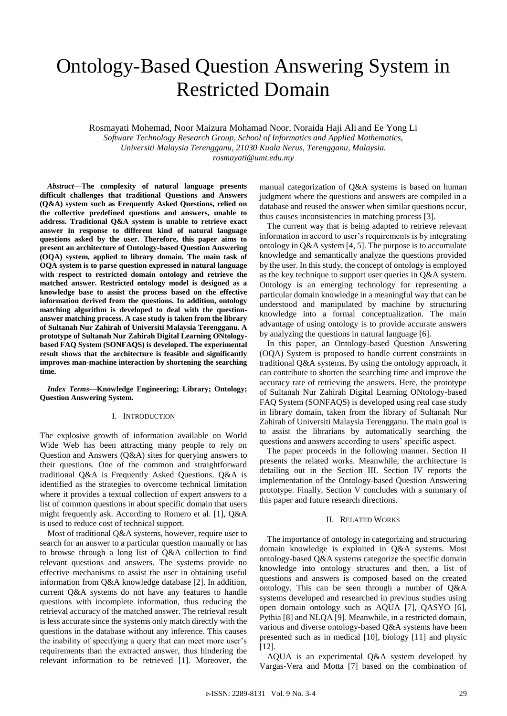# Ontology-Based Question Answering System in Restricted Domain

Rosmayati Mohemad, Noor Maizura Mohamad Noor, Noraida Haji Ali and Ee Yong Li

*Software Technology Research Group, School of Informatics and Applied Mathematics, Universiti Malaysia Terengganu, 21030 Kuala Nerus, Terengganu, Malaysia.*

*rosmayati@umt.edu.my*

*Abstract***—The complexity of natural language presents difficult challenges that traditional Questions and Answers (Q&A) system such as Frequently Asked Questions, relied on the collective predefined questions and answers, unable to address. Traditional Q&A system is unable to retrieve exact answer in response to different kind of natural language questions asked by the user. Therefore, this paper aims to present an architecture of Ontology-based Question Answering (OQA) system, applied to library domain. The main task of OQA system is to parse question expressed in natural language with respect to restricted domain ontology and retrieve the matched answer. Restricted ontology model is designed as a knowledge base to assist the process based on the effective information derived from the questions. In addition, ontology matching algorithm is developed to deal with the questionanswer matching process. A case study is taken from the library of Sultanah Nur Zahirah of Universiti Malaysia Terengganu. A prototype of Sultanah Nur Zahirah Digital Learning ONtologybased FAQ System (SONFAQS) is developed. The experimental result shows that the architecture is feasible and significantly improves man-machine interaction by shortening the searching time.**

*Index Terms***—Knowledge Engineering; Library; Ontology; Question Answering System.**

## I. INTRODUCTION

The explosive growth of information available on World Wide Web has been attracting many people to rely on Question and Answers (Q&A) sites for querying answers to their questions. One of the common and straightforward traditional Q&A is Frequently Asked Questions. Q&A is identified as the strategies to overcome technical limitation where it provides a textual collection of expert answers to a list of common questions in about specific domain that users might frequently ask. According to Romero et al. [1], Q&A is used to reduce cost of technical support.

Most of traditional Q&A systems, however, require user to search for an answer to a particular question manually or has to browse through a long list of Q&A collection to find relevant questions and answers. The systems provide no effective mechanisms to assist the user in obtaining useful information from Q&A knowledge database [2]. In addition, current Q&A systems do not have any features to handle questions with incomplete information, thus reducing the retrieval accuracy of the matched answer. The retrieval result is less accurate since the systems only match directly with the questions in the database without any inference. This causes the inability of specifying a query that can meet more user's requirements than the extracted answer, thus hindering the relevant information to be retrieved [1]. Moreover, the

manual categorization of Q&A systems is based on human judgment where the questions and answers are compiled in a database and reused the answer when similar questions occur, thus causes inconsistencies in matching process [3].

The current way that is being adapted to retrieve relevant information in accord to user's requirements is by integrating ontology in Q&A system [4, 5]. The purpose is to accumulate knowledge and semantically analyze the questions provided by the user. In this study, the concept of ontology is employed as the key technique to support user queries in Q&A system. Ontology is an emerging technology for representing a particular domain knowledge in a meaningful way that can be understood and manipulated by machine by structuring knowledge into a formal conceptualization. The main advantage of using ontology is to provide accurate answers by analyzing the questions in natural language [6].

In this paper, an Ontology-based Question Answering (OQA) System is proposed to handle current constraints in traditional Q&A systems. By using the ontology approach, it can contribute to shorten the searching time and improve the accuracy rate of retrieving the answers. Here, the prototype of Sultanah Nur Zahirah Digital Learning ONtology-based FAQ System (SONFAQS) is developed using real case study in library domain, taken from the library of Sultanah Nur Zahirah of Universiti Malaysia Terengganu. The main goal is to assist the librarians by automatically searching the questions and answers according to users' specific aspect.

The paper proceeds in the following manner. Section II presents the related works. Meanwhile, the architecture is detailing out in the Section III. Section IV reports the implementation of the Ontology-based Question Answering prototype. Finally, Section V concludes with a summary of this paper and future research directions.

## II. RELATED WORKS

The importance of ontology in categorizing and structuring domain knowledge is exploited in Q&A systems. Most ontology-based Q&A systems categorize the specific domain knowledge into ontology structures and then, a list of questions and answers is composed based on the created ontology. This can be seen through a number of Q&A systems developed and researched in previous studies using open domain ontology such as AQUA [7], QASYO [6], Pythia [8] and NLQA [9]. Meanwhile, in a restricted domain, various and diverse ontology-based Q&A systems have been presented such as in medical [10], biology [11] and physic [12].

AQUA is an experimental Q&A system developed by Vargas-Vera and Motta [7] based on the combination of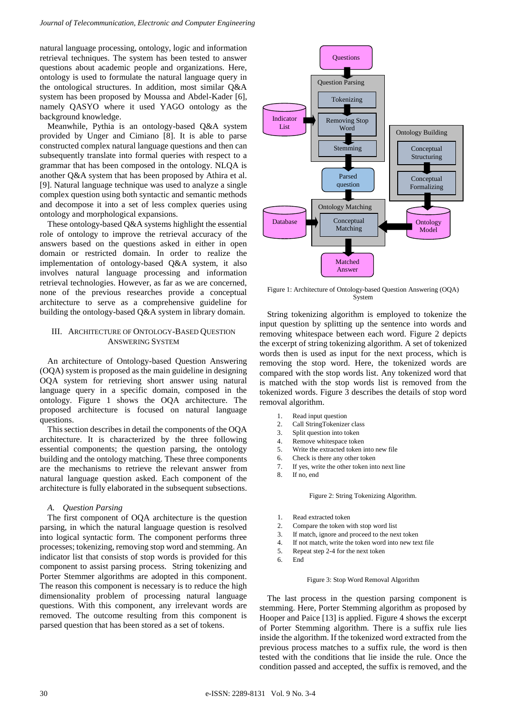natural language processing, ontology, logic and information retrieval techniques. The system has been tested to answer questions about academic people and organizations. Here, ontology is used to formulate the natural language query in the ontological structures. In addition, most similar Q&A system has been proposed by Moussa and Abdel-Kader [6], namely QASYO where it used YAGO ontology as the background knowledge.

Meanwhile, Pythia is an ontology-based Q&A system provided by Unger and Cimiano [8]. It is able to parse constructed complex natural language questions and then can subsequently translate into formal queries with respect to a grammar that has been composed in the ontology. NLQA is another Q&A system that has been proposed by Athira et al. [9]. Natural language technique was used to analyze a single complex question using both syntactic and semantic methods and decompose it into a set of less complex queries using ontology and morphological expansions.

These ontology-based Q&A systems highlight the essential role of ontology to improve the retrieval accuracy of the answers based on the questions asked in either in open domain or restricted domain. In order to realize the implementation of ontology-based Q&A system, it also involves natural language processing and information retrieval technologies. However, as far as we are concerned, none of the previous researches provide a conceptual architecture to serve as a comprehensive guideline for building the ontology-based Q&A system in library domain.

# III. ARCHITECTURE OF ONTOLOGY-BASED QUESTION ANSWERING SYSTEM

An architecture of Ontology-based Question Answering (OQA) system is proposed as the main guideline in designing OQA system for retrieving short answer using natural language query in a specific domain, composed in the ontology. Figure 1 shows the OQA architecture. The proposed architecture is focused on natural language questions.

This section describes in detail the components of the OQA architecture. It is characterized by the three following essential components; the question parsing, the ontology building and the ontology matching. These three components are the mechanisms to retrieve the relevant answer from natural language question asked. Each component of the architecture is fully elaborated in the subsequent subsections.

# *A. Question Parsing*

The first component of OQA architecture is the question parsing, in which the natural language question is resolved into logical syntactic form. The component performs three processes; tokenizing, removing stop word and stemming. An indicator list that consists of stop words is provided for this component to assist parsing process. String tokenizing and Porter Stemmer algorithms are adopted in this component. The reason this component is necessary is to reduce the high dimensionality problem of processing natural language questions. With this component, any irrelevant words are removed. The outcome resulting from this component is parsed question that has been stored as a set of tokens.



Figure 1: Architecture of Ontology-based Question Answering (OQA) System

String tokenizing algorithm is employed to tokenize the input question by splitting up the sentence into words and removing whitespace between each word. Figure 2 depicts the excerpt of string tokenizing algorithm. A set of tokenized words then is used as input for the next process, which is removing the stop word. Here, the tokenized words are compared with the stop words list. Any tokenized word that is matched with the stop words list is removed from the tokenized words. Figure 3 describes the details of stop word removal algorithm.

- 1. Read input question
- 2. Call StringTokenizer class
- 3. Split question into token
- 4. Remove whitespace token
- 5. Write the extracted token into new file
- 6. Check is there any other token
- 7. If yes, write the other token into next line
- If no, end

Figure 2: String Tokenizing Algorithm.

- 1. Read extracted token
- 2. Compare the token with stop word list
- 3. If match, ignore and proceed to the next token
- 4. If not match, write the token word into new text file
- 5. Repeat step 2-4 for the next token
- 6. End

## Figure 3: Stop Word Removal Algorithm

The last process in the question parsing component is stemming. Here, Porter Stemming algorithm as proposed by Hooper and Paice [13] is applied. Figure 4 shows the excerpt of Porter Stemming algorithm. There is a suffix rule lies inside the algorithm. If the tokenized word extracted from the previous process matches to a suffix rule, the word is then tested with the conditions that lie inside the rule. Once the condition passed and accepted, the suffix is removed, and the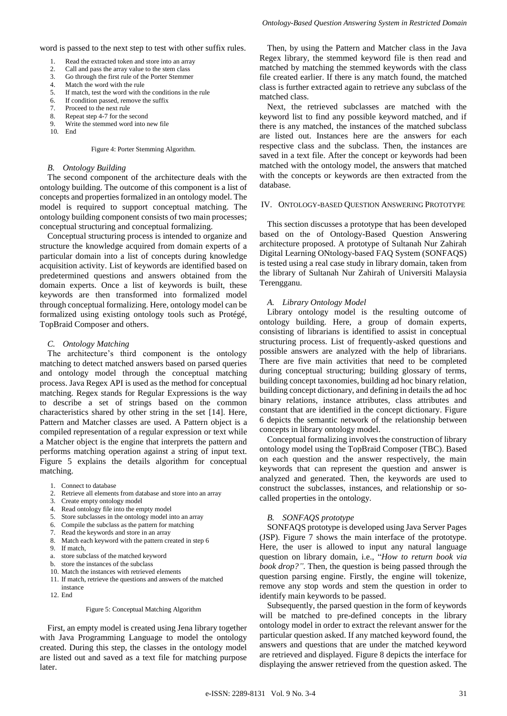word is passed to the next step to test with other suffix rules.

- 1. Read the extracted token and store into an array 2. Call and pass the array value to the stem class
- 2. Call and pass the array value to the stem class<br>3. Go through the first rule of the Porter Stemme
- 3. Go through the first rule of the Porter Stemmer
- 4. Match the word with the rule<br>5. If match, test the word with the
- 5. If match, test the word with the conditions in the rule<br>6. If condition passed, remove the suffix
- 6. If condition passed, remove the suffix<br>
7 Proceed to the next rule
- Proceed to the next rule
- 8. Repeat step 4-7 for the second<br>9. Write the stemmed word into r Write the stemmed word into new file
- 10. End

#### Figure 4: Porter Stemming Algorithm.

#### *B. Ontology Building*

The second component of the architecture deals with the ontology building. The outcome of this component is a list of concepts and properties formalized in an ontology model. The model is required to support conceptual matching. The ontology building component consists of two main processes; conceptual structuring and conceptual formalizing.

Conceptual structuring process is intended to organize and structure the knowledge acquired from domain experts of a particular domain into a list of concepts during knowledge acquisition activity. List of keywords are identified based on predetermined questions and answers obtained from the domain experts. Once a list of keywords is built, these keywords are then transformed into formalized model through conceptual formalizing. Here, ontology model can be formalized using existing ontology tools such as Protégé, TopBraid Composer and others.

## *C. Ontology Matching*

The architecture's third component is the ontology matching to detect matched answers based on parsed queries and ontology model through the conceptual matching process. Java Regex API is used as the method for conceptual matching. Regex stands for Regular Expressions is the way to describe a set of strings based on the common characteristics shared by other string in the set [14]. Here, Pattern and Matcher classes are used. A Pattern object is a compiled representation of a regular expression or text while a Matcher object is the engine that interprets the pattern and performs matching operation against a string of input text. Figure 5 explains the details algorithm for conceptual matching.

- 1. Connect to database
- 2. Retrieve all elements from database and store into an array
- 3. Create empty ontology model
- 4. Read ontology file into the empty model
- 5. Store subclasses in the ontology model into an array
- 6. Compile the subclass as the pattern for matching
- 7. Read the keywords and store in an array 8. Match each keyword with the pattern created in step 6
- 9. If match,
- a. store subclass of the matched keyword
- b. store the instances of the subclass
- 10. Match the instances with retrieved elements
- 11. If match, retrieve the questions and answers of the matched
- instance
- 12. End

#### Figure 5: Conceptual Matching Algorithm

First, an empty model is created using Jena library together with Java Programming Language to model the ontology created. During this step, the classes in the ontology model are listed out and saved as a text file for matching purpose later.

Then, by using the Pattern and Matcher class in the Java Regex library, the stemmed keyword file is then read and matched by matching the stemmed keywords with the class file created earlier. If there is any match found, the matched class is further extracted again to retrieve any subclass of the matched class.

Next, the retrieved subclasses are matched with the keyword list to find any possible keyword matched, and if there is any matched, the instances of the matched subclass are listed out. Instances here are the answers for each respective class and the subclass. Then, the instances are saved in a text file. After the concept or keywords had been matched with the ontology model, the answers that matched with the concepts or keywords are then extracted from the database.

## IV. ONTOLOGY-BASED QUESTION ANSWERING PROTOTYPE

This section discusses a prototype that has been developed based on the of Ontology-Based Question Answering architecture proposed. A prototype of Sultanah Nur Zahirah Digital Learning ONtology-based FAQ System (SONFAQS) is tested using a real case study in library domain, taken from the library of Sultanah Nur Zahirah of Universiti Malaysia Terengganu.

## *A. Library Ontology Model*

Library ontology model is the resulting outcome of ontology building. Here, a group of domain experts, consisting of librarians is identified to assist in conceptual structuring process. List of frequently-asked questions and possible answers are analyzed with the help of librarians. There are five main activities that need to be completed during conceptual structuring; building glossary of terms, building concept taxonomies, building ad hoc binary relation, building concept dictionary, and defining in details the ad hoc binary relations, instance attributes, class attributes and constant that are identified in the concept dictionary. Figure 6 depicts the semantic network of the relationship between concepts in library ontology model.

Conceptual formalizing involves the construction of library ontology model using the TopBraid Composer (TBC). Based on each question and the answer respectively, the main keywords that can represent the question and answer is analyzed and generated. Then, the keywords are used to construct the subclasses, instances, and relationship or socalled properties in the ontology.

## *B. SONFAQS prototype*

SONFAQS prototype is developed using Java Server Pages (JSP). Figure 7 shows the main interface of the prototype. Here, the user is allowed to input any natural language question on library domain, i.e., "*How to return book via book drop?".* Then, the question is being passed through the question parsing engine. Firstly, the engine will tokenize, remove any stop words and stem the question in order to identify main keywords to be passed.

Subsequently, the parsed question in the form of keywords will be matched to pre-defined concepts in the library ontology model in order to extract the relevant answer for the particular question asked. If any matched keyword found, the answers and questions that are under the matched keyword are retrieved and displayed. Figure 8 depicts the interface for displaying the answer retrieved from the question asked. The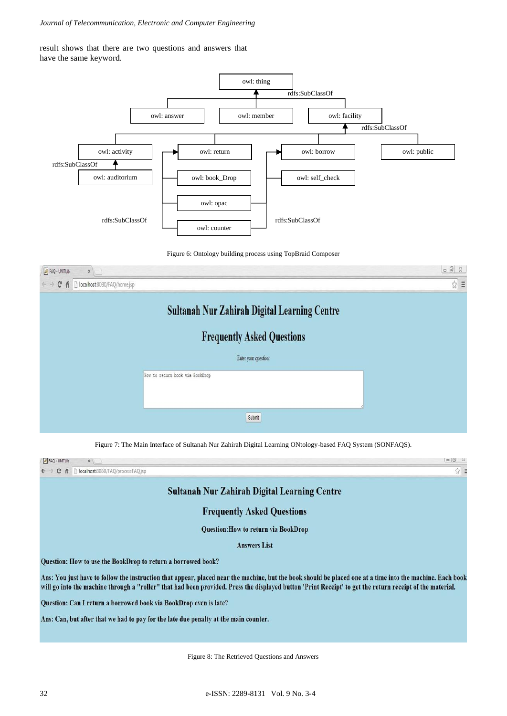# *Journal of Telecommunication, Electronic and Computer Engineering*

result shows that there are two questions and answers that have the same keyword.



Figure 6: Ontology building process using TopBraid Composer



Figure 7: The Main Interface of Sultanah Nur Zahirah Digital Learning ONtology-based FAQ System (SONFAQS).



Figure 8: The Retrieved Questions and Answers